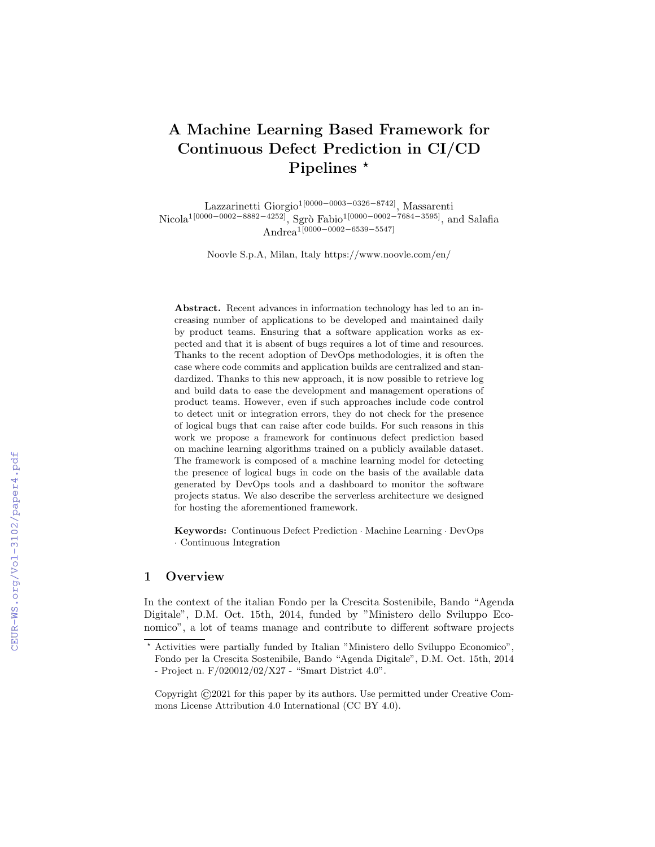# A Machine Learning Based Framework for Continuous Defect Prediction in CI/CD Pipelines<sup>\*</sup>

Lazzarinetti Giorgio<sup>1[0000-0003-0326-8742]</sup>, Massarenti  $Nicola<sup>1</sup>[0000-0002-8882-4252]$ , Sgrò Fabio<sup>1</sup><sup>[0000-0002-7684-3595]</sup>, and Salafia  $\text{Andrea}^{\tilde{1}[0000-0002-6539-5547]}$ 

Noovle S.p.A, Milan, Italy https://www.noovle.com/en/

Abstract. Recent advances in information technology has led to an increasing number of applications to be developed and maintained daily by product teams. Ensuring that a software application works as expected and that it is absent of bugs requires a lot of time and resources. Thanks to the recent adoption of DevOps methodologies, it is often the case where code commits and application builds are centralized and standardized. Thanks to this new approach, it is now possible to retrieve log and build data to ease the development and management operations of product teams. However, even if such approaches include code control to detect unit or integration errors, they do not check for the presence of logical bugs that can raise after code builds. For such reasons in this work we propose a framework for continuous defect prediction based on machine learning algorithms trained on a publicly available dataset. The framework is composed of a machine learning model for detecting the presence of logical bugs in code on the basis of the available data generated by DevOps tools and a dashboard to monitor the software projects status. We also describe the serverless architecture we designed for hosting the aforementioned framework.

Keywords: Continuous Defect Prediction · Machine Learning · DevOps · Continuous Integration

# 1 Overview

In the context of the italian Fondo per la Crescita Sostenibile, Bando "Agenda Digitale", D.M. Oct. 15th, 2014, funded by "Ministero dello Sviluppo Economico", a lot of teams manage and contribute to different software projects

<sup>?</sup> Activities were partially funded by Italian "Ministero dello Sviluppo Economico", Fondo per la Crescita Sostenibile, Bando "Agenda Digitale", D.M. Oct. 15th, 2014 - Project n. F/020012/02/X27 - "Smart District 4.0".

Copyright ©2021 for this paper by its authors. Use permitted under Creative Commons License Attribution 4.0 International (CC BY 4.0).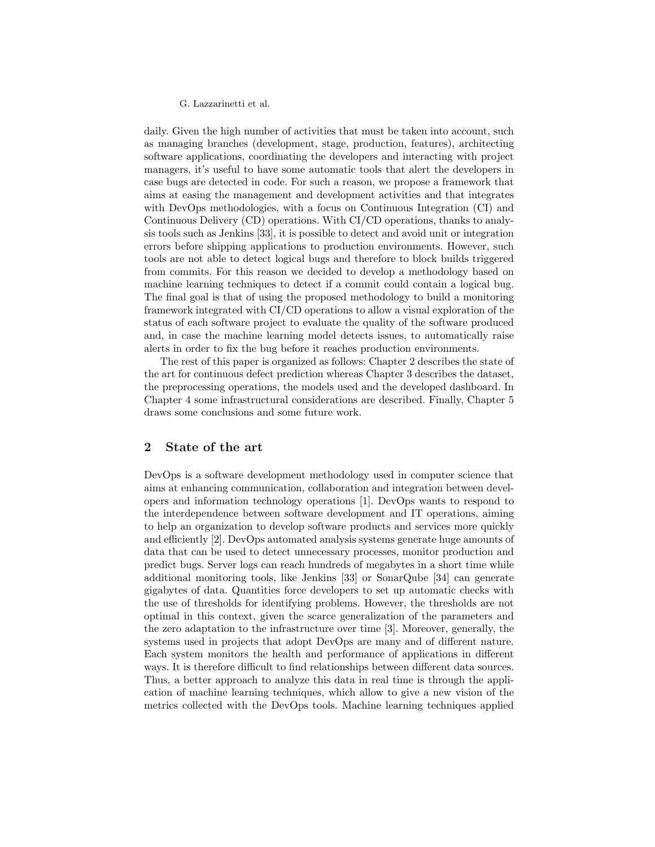daily. Given the high number of activities that must be taken into account, such as managing branches (development, stage, production, features), architecting software applications, coordinating the developers and interacting with project managers, it's useful to have some automatic tools that alert the developers in case bugs are detected in code. For such a reason, we propose a framework that aims at easing the management and development activities and that integrates with DevOps methodologies, with a focus on Continuous Integration (CI) and Continuous Delivery (CD) operations. With CI/CD operations, thanks to analysis tools such as Jenkins [33], it is possible to detect and avoid unit or integration errors before shipping applications to production environments. However, such tools are not able to detect logical bugs and therefore to block builds triggered from commits. For this reason we decided to develop a methodology based on machine learning techniques to detect if a commit could contain a logical bug. The final goal is that of using the proposed methodology to build a monitoring framework integrated with CI/CD operations to allow a visual exploration of the status of each software project to evaluate the quality of the software produced and, in case the machine learning model detects issues, to automatically raise alerts in order to fix the bug before it reaches production environments.

The rest of this paper is organized as follows: Chapter 2 describes the state of the art for continuous defect prediction whereas Chapter 3 describes the dataset, the preprocessing operations, the models used and the developed dashboard. In Chapter 4 some infrastructural considerations are described. Finally, Chapter 5 draws some conclusions and some future work.

# 2 State of the art

DevOps is a software development methodology used in computer science that aims at enhancing communication, collaboration and integration between developers and information technology operations [1]. DevOps wants to respond to the interdependence between software development and IT operations, aiming to help an organization to develop software products and services more quickly and efficiently [2]. DevOps automated analysis systems generate huge amounts of data that can be used to detect unnecessary processes, monitor production and predict bugs. Server logs can reach hundreds of megabytes in a short time while additional monitoring tools, like Jenkins [33] or SonarQube [34] can generate gigabytes of data. Quantities force developers to set up automatic checks with the use of thresholds for identifying problems. However, the thresholds are not optimal in this context, given the scarce generalization of the parameters and the zero adaptation to the infrastructure over time [3]. Moreover, generally, the systems used in projects that adopt DevOps are many and of different nature. Each system monitors the health and performance of applications in different ways. It is therefore difficult to find relationships between different data sources. Thus, a better approach to analyze this data in real time is through the application of machine learning techniques, which allow to give a new vision of the metrics collected with the DevOps tools. Machine learning techniques applied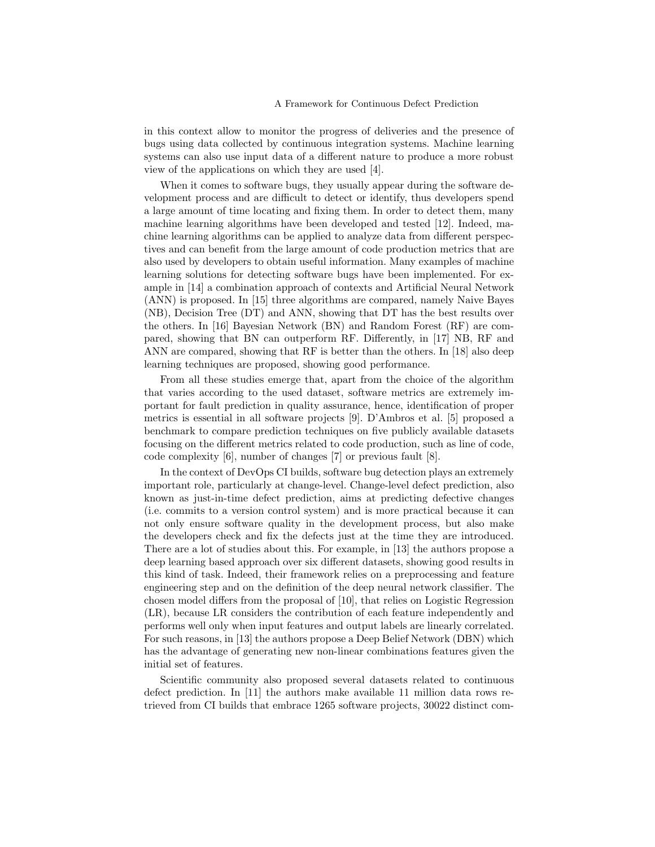in this context allow to monitor the progress of deliveries and the presence of bugs using data collected by continuous integration systems. Machine learning systems can also use input data of a different nature to produce a more robust view of the applications on which they are used [4].

When it comes to software bugs, they usually appear during the software development process and are difficult to detect or identify, thus developers spend a large amount of time locating and fixing them. In order to detect them, many machine learning algorithms have been developed and tested [12]. Indeed, machine learning algorithms can be applied to analyze data from different perspectives and can benefit from the large amount of code production metrics that are also used by developers to obtain useful information. Many examples of machine learning solutions for detecting software bugs have been implemented. For example in [14] a combination approach of contexts and Artificial Neural Network (ANN) is proposed. In [15] three algorithms are compared, namely Naive Bayes (NB), Decision Tree (DT) and ANN, showing that DT has the best results over the others. In [16] Bayesian Network (BN) and Random Forest (RF) are compared, showing that BN can outperform RF. Differently, in  $[17]$  NB, RF and ANN are compared, showing that RF is better than the others. In [18] also deep learning techniques are proposed, showing good performance.

From all these studies emerge that, apart from the choice of the algorithm that varies according to the used dataset, software metrics are extremely important for fault prediction in quality assurance, hence, identification of proper metrics is essential in all software projects [9]. D'Ambros et al. [5] proposed a benchmark to compare prediction techniques on five publicly available datasets focusing on the different metrics related to code production, such as line of code, code complexity [6], number of changes [7] or previous fault [8].

In the context of DevOps CI builds, software bug detection plays an extremely important role, particularly at change-level. Change-level defect prediction, also known as just-in-time defect prediction, aims at predicting defective changes (i.e. commits to a version control system) and is more practical because it can not only ensure software quality in the development process, but also make the developers check and fix the defects just at the time they are introduced. There are a lot of studies about this. For example, in [13] the authors propose a deep learning based approach over six different datasets, showing good results in this kind of task. Indeed, their framework relies on a preprocessing and feature engineering step and on the definition of the deep neural network classifier. The chosen model differs from the proposal of  $[10]$ , that relies on Logistic Regression (LR), because LR considers the contribution of each feature independently and performs well only when input features and output labels are linearly correlated. For such reasons, in [13] the authors propose a Deep Belief Network (DBN) which has the advantage of generating new non-linear combinations features given the initial set of features.

Scientific community also proposed several datasets related to continuous defect prediction. In [11] the authors make available 11 million data rows retrieved from CI builds that embrace 1265 software projects, 30022 distinct com-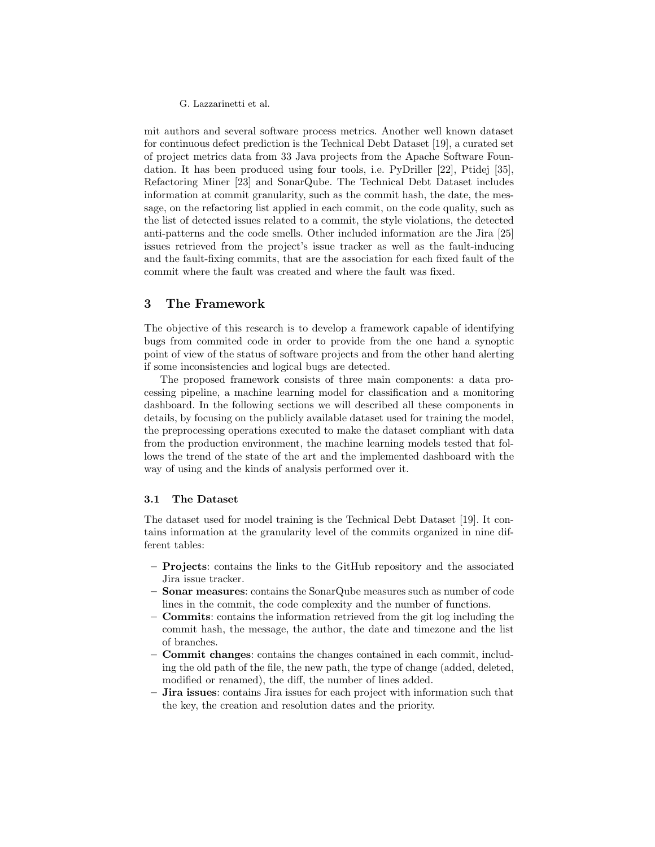mit authors and several software process metrics. Another well known dataset for continuous defect prediction is the Technical Debt Dataset [19], a curated set of project metrics data from 33 Java projects from the Apache Software Foundation. It has been produced using four tools, i.e. PyDriller [22], Ptidej [35], Refactoring Miner [23] and SonarQube. The Technical Debt Dataset includes information at commit granularity, such as the commit hash, the date, the message, on the refactoring list applied in each commit, on the code quality, such as the list of detected issues related to a commit, the style violations, the detected anti-patterns and the code smells. Other included information are the Jira [25] issues retrieved from the project's issue tracker as well as the fault-inducing and the fault-fixing commits, that are the association for each fixed fault of the commit where the fault was created and where the fault was fixed.

## 3 The Framework

The objective of this research is to develop a framework capable of identifying bugs from commited code in order to provide from the one hand a synoptic point of view of the status of software projects and from the other hand alerting if some inconsistencies and logical bugs are detected.

The proposed framework consists of three main components: a data processing pipeline, a machine learning model for classification and a monitoring dashboard. In the following sections we will described all these components in details, by focusing on the publicly available dataset used for training the model, the preprocessing operations executed to make the dataset compliant with data from the production environment, the machine learning models tested that follows the trend of the state of the art and the implemented dashboard with the way of using and the kinds of analysis performed over it.

#### 3.1 The Dataset

The dataset used for model training is the Technical Debt Dataset [19]. It contains information at the granularity level of the commits organized in nine different tables:

- Projects: contains the links to the GitHub repository and the associated Jira issue tracker.
- Sonar measures: contains the SonarQube measures such as number of code lines in the commit, the code complexity and the number of functions.
- Commits: contains the information retrieved from the git log including the commit hash, the message, the author, the date and timezone and the list of branches.
- Commit changes: contains the changes contained in each commit, including the old path of the file, the new path, the type of change (added, deleted, modified or renamed), the diff, the number of lines added.
- Jira issues: contains Jira issues for each project with information such that the key, the creation and resolution dates and the priority.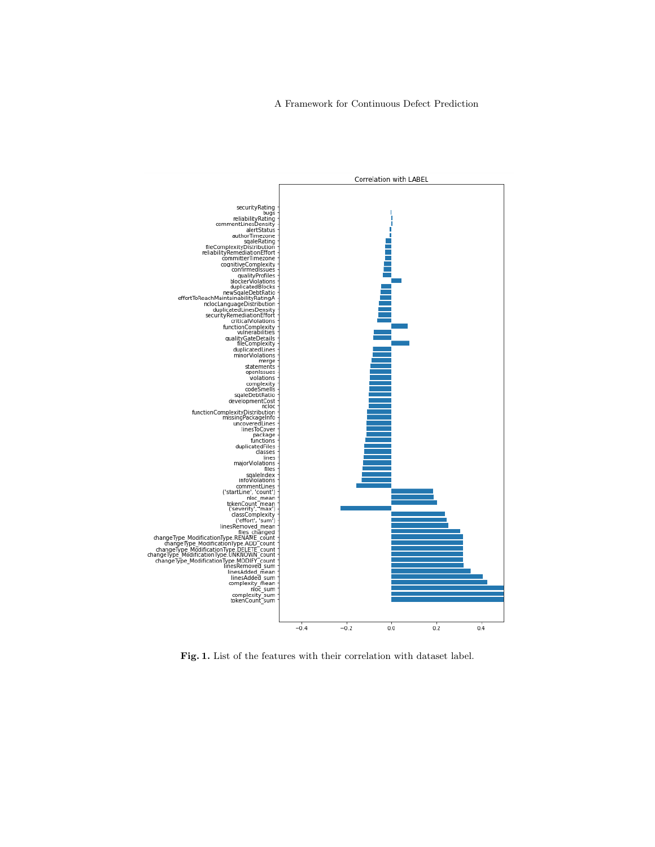#### A Framework for Continuous Defect Prediction



Fig. 1. List of the features with their correlation with dataset label.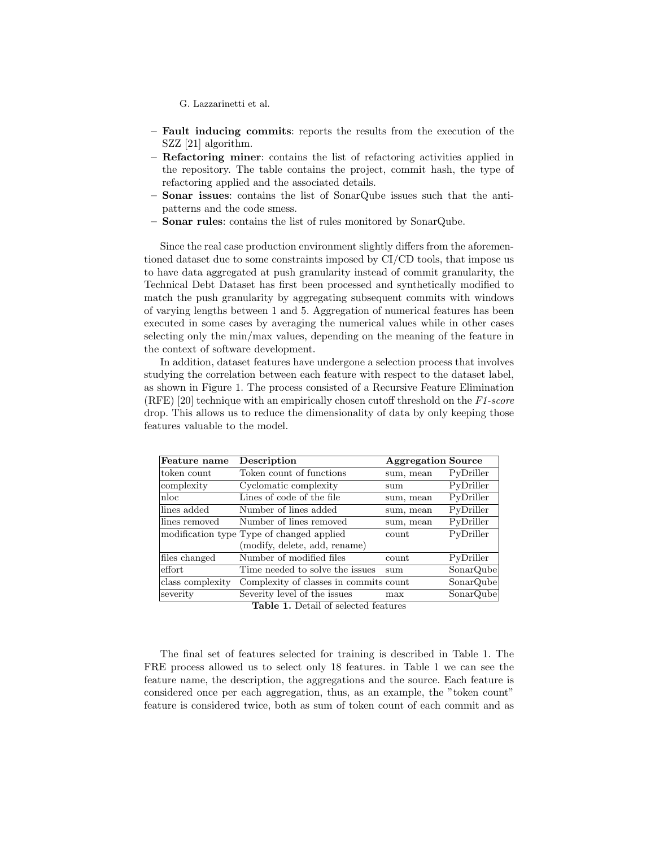- G. Lazzarinetti et al.
- Fault inducing commits: reports the results from the execution of the SZZ [21] algorithm.
- Refactoring miner: contains the list of refactoring activities applied in the repository. The table contains the project, commit hash, the type of refactoring applied and the associated details.
- Sonar issues: contains the list of SonarQube issues such that the antipatterns and the code smess.
- Sonar rules: contains the list of rules monitored by SonarQube.

Since the real case production environment slightly differs from the aforementioned dataset due to some constraints imposed by CI/CD tools, that impose us to have data aggregated at push granularity instead of commit granularity, the Technical Debt Dataset has first been processed and synthetically modified to match the push granularity by aggregating subsequent commits with windows of varying lengths between 1 and 5. Aggregation of numerical features has been executed in some cases by averaging the numerical values while in other cases selecting only the min/max values, depending on the meaning of the feature in the context of software development.

In addition, dataset features have undergone a selection process that involves studying the correlation between each feature with respect to the dataset label, as shown in Figure 1. The process consisted of a Recursive Feature Elimination  $(RFE)$  [20] technique with an empirically chosen cutoff threshold on the  $F1-score$ drop. This allows us to reduce the dimensionality of data by only keeping those features valuable to the model.

| Feature name     | Description                               | <b>Aggregation Source</b> |           |
|------------------|-------------------------------------------|---------------------------|-----------|
| token count      | Token count of functions                  | sum, mean                 | PyDriller |
| complexity       | Cyclomatic complexity                     | sum                       | PyDriller |
| nloc             | Lines of code of the file                 | sum, mean                 | PyDriller |
| lines added      | Number of lines added                     | sum, mean                 | PyDriller |
| lines removed    | Number of lines removed                   | sum, mean                 | PyDriller |
|                  | modification type Type of changed applied | count                     | PyDriller |
|                  | (modify, delete, add, rename)             |                           |           |
| files changed    | Number of modified files                  | count                     | PyDriller |
| $\text{effort}$  | Time needed to solve the issues           | sum                       | SonarQube |
| class complexity | Complexity of classes in commits count    |                           | SonarQube |
| severity         | Severity level of the issues              | max                       | SonarQube |

Table 1. Detail of selected features

The final set of features selected for training is described in Table 1. The FRE process allowed us to select only 18 features. in Table 1 we can see the feature name, the description, the aggregations and the source. Each feature is considered once per each aggregation, thus, as an example, the "token count" feature is considered twice, both as sum of token count of each commit and as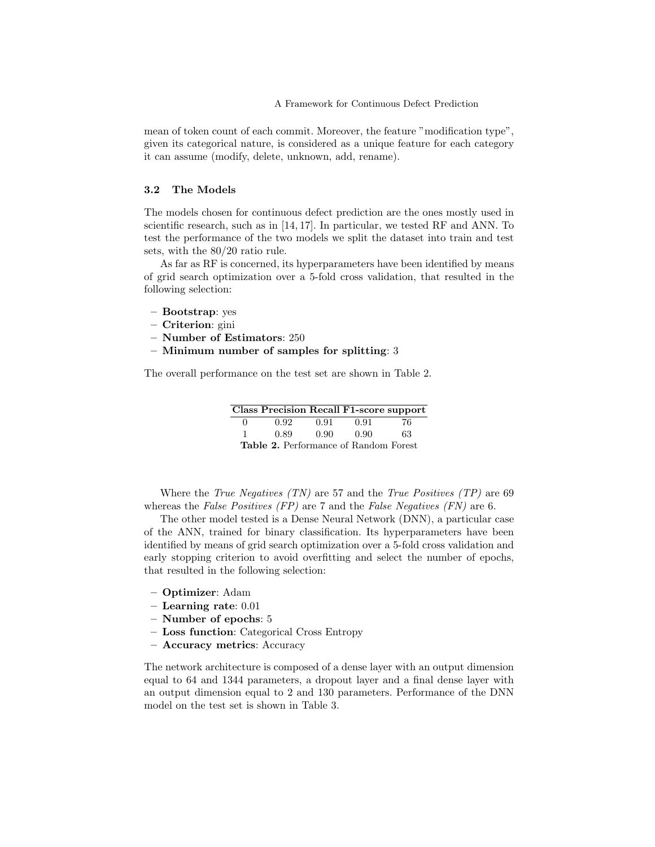#### A Framework for Continuous Defect Prediction

mean of token count of each commit. Moreover, the feature "modification type", given its categorical nature, is considered as a unique feature for each category it can assume (modify, delete, unknown, add, rename).

#### 3.2 The Models

The models chosen for continuous defect prediction are the ones mostly used in scientific research, such as in [14, 17]. In particular, we tested RF and ANN. To test the performance of the two models we split the dataset into train and test sets, with the 80/20 ratio rule.

As far as RF is concerned, its hyperparameters have been identified by means of grid search optimization over a 5-fold cross validation, that resulted in the following selection:

- Bootstrap: yes
- Criterion: gini
- Number of Estimators: 250
- Minimum number of samples for splitting: 3

The overall performance on the test set are shown in Table 2.

|          | <b>Class Precision Recall F1-score support</b> |      |      |    |
|----------|------------------------------------------------|------|------|----|
| $\Omega$ | 0.92                                           | 0.91 | 0.91 | 76 |
|          | 0.89                                           | 0.90 | 0.90 | 63 |
|          | <b>Table 2.</b> Performance of Random Forest   |      |      |    |

Where the *True Negatives (TN)* are 57 and the *True Positives (TP)* are 69 whereas the *False Positives (FP)* are 7 and the *False Negatives (FN)* are 6.

The other model tested is a Dense Neural Network (DNN), a particular case of the ANN, trained for binary classification. Its hyperparameters have been identified by means of grid search optimization over a 5-fold cross validation and early stopping criterion to avoid overfitting and select the number of epochs, that resulted in the following selection:

- Optimizer: Adam
- Learning rate: 0.01
- Number of epochs: 5
- Loss function: Categorical Cross Entropy
- Accuracy metrics: Accuracy

The network architecture is composed of a dense layer with an output dimension equal to 64 and 1344 parameters, a dropout layer and a final dense layer with an output dimension equal to 2 and 130 parameters. Performance of the DNN model on the test set is shown in Table 3.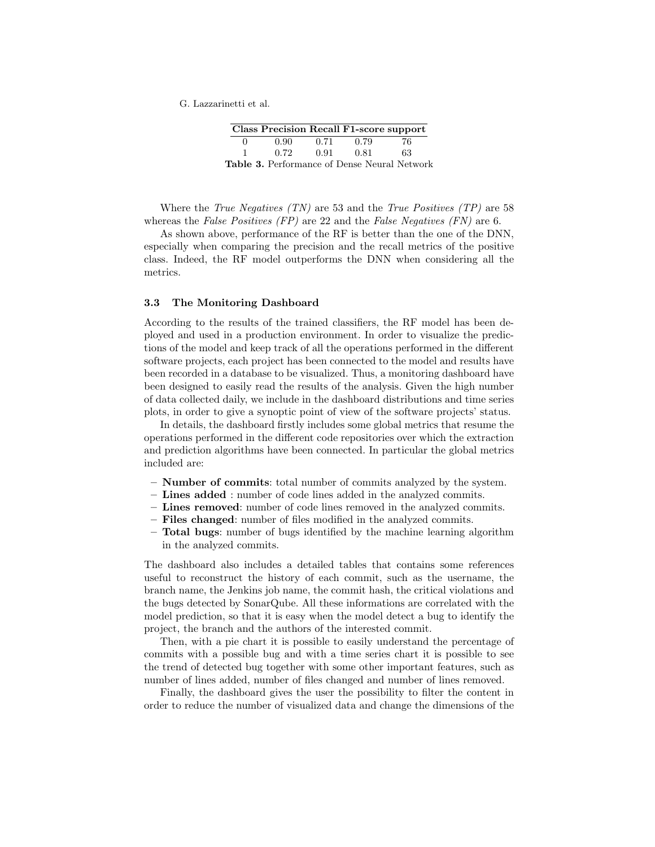|          | Class Precision Recall F1-score support             |      |      |    |
|----------|-----------------------------------------------------|------|------|----|
| $\Omega$ | 0.90                                                | 0.71 | 0.79 | 76 |
| 1.       | 0.72                                                | 0.91 | 0.81 | 63 |
|          | <b>Table 3.</b> Performance of Dense Neural Network |      |      |    |

Where the *True Negatives (TN)* are 53 and the *True Positives (TP)* are 58 whereas the *False Positives (FP)* are 22 and the *False Negatives (FN)* are 6.

As shown above, performance of the RF is better than the one of the DNN, especially when comparing the precision and the recall metrics of the positive class. Indeed, the RF model outperforms the DNN when considering all the metrics.

### 3.3 The Monitoring Dashboard

According to the results of the trained classifiers, the RF model has been deployed and used in a production environment. In order to visualize the predictions of the model and keep track of all the operations performed in the different software projects, each project has been connected to the model and results have been recorded in a database to be visualized. Thus, a monitoring dashboard have been designed to easily read the results of the analysis. Given the high number of data collected daily, we include in the dashboard distributions and time series plots, in order to give a synoptic point of view of the software projects' status.

In details, the dashboard firstly includes some global metrics that resume the operations performed in the different code repositories over which the extraction and prediction algorithms have been connected. In particular the global metrics included are:

- Number of commits: total number of commits analyzed by the system.
- Lines added : number of code lines added in the analyzed commits.
- Lines removed: number of code lines removed in the analyzed commits.
- Files changed: number of files modified in the analyzed commits.
- Total bugs: number of bugs identified by the machine learning algorithm in the analyzed commits.

The dashboard also includes a detailed tables that contains some references useful to reconstruct the history of each commit, such as the username, the branch name, the Jenkins job name, the commit hash, the critical violations and the bugs detected by SonarQube. All these informations are correlated with the model prediction, so that it is easy when the model detect a bug to identify the project, the branch and the authors of the interested commit.

Then, with a pie chart it is possible to easily understand the percentage of commits with a possible bug and with a time series chart it is possible to see the trend of detected bug together with some other important features, such as number of lines added, number of files changed and number of lines removed.

Finally, the dashboard gives the user the possibility to filter the content in order to reduce the number of visualized data and change the dimensions of the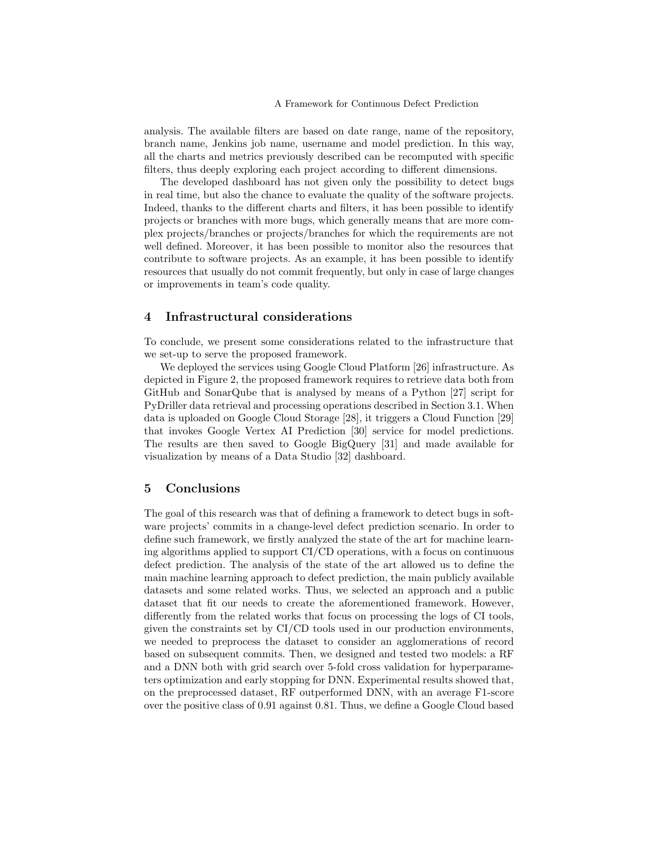analysis. The available filters are based on date range, name of the repository, branch name, Jenkins job name, username and model prediction. In this way, all the charts and metrics previously described can be recomputed with specific filters, thus deeply exploring each project according to different dimensions.

The developed dashboard has not given only the possibility to detect bugs in real time, but also the chance to evaluate the quality of the software projects. Indeed, thanks to the different charts and filters, it has been possible to identify projects or branches with more bugs, which generally means that are more complex projects/branches or projects/branches for which the requirements are not well defined. Moreover, it has been possible to monitor also the resources that contribute to software projects. As an example, it has been possible to identify resources that usually do not commit frequently, but only in case of large changes or improvements in team's code quality.

### 4 Infrastructural considerations

To conclude, we present some considerations related to the infrastructure that we set-up to serve the proposed framework.

We deployed the services using Google Cloud Platform [26] infrastructure. As depicted in Figure 2, the proposed framework requires to retrieve data both from GitHub and SonarQube that is analysed by means of a Python [27] script for PyDriller data retrieval and processing operations described in Section 3.1. When data is uploaded on Google Cloud Storage [28], it triggers a Cloud Function [29] that invokes Google Vertex AI Prediction [30] service for model predictions. The results are then saved to Google BigQuery [31] and made available for visualization by means of a Data Studio [32] dashboard.

### 5 Conclusions

The goal of this research was that of defining a framework to detect bugs in software projects' commits in a change-level defect prediction scenario. In order to define such framework, we firstly analyzed the state of the art for machine learning algorithms applied to support CI/CD operations, with a focus on continuous defect prediction. The analysis of the state of the art allowed us to define the main machine learning approach to defect prediction, the main publicly available datasets and some related works. Thus, we selected an approach and a public dataset that fit our needs to create the aforementioned framework. However, differently from the related works that focus on processing the logs of CI tools, given the constraints set by CI/CD tools used in our production environments, we needed to preprocess the dataset to consider an agglomerations of record based on subsequent commits. Then, we designed and tested two models: a RF and a DNN both with grid search over 5-fold cross validation for hyperparameters optimization and early stopping for DNN. Experimental results showed that, on the preprocessed dataset, RF outperformed DNN, with an average F1-score over the positive class of 0.91 against 0.81. Thus, we define a Google Cloud based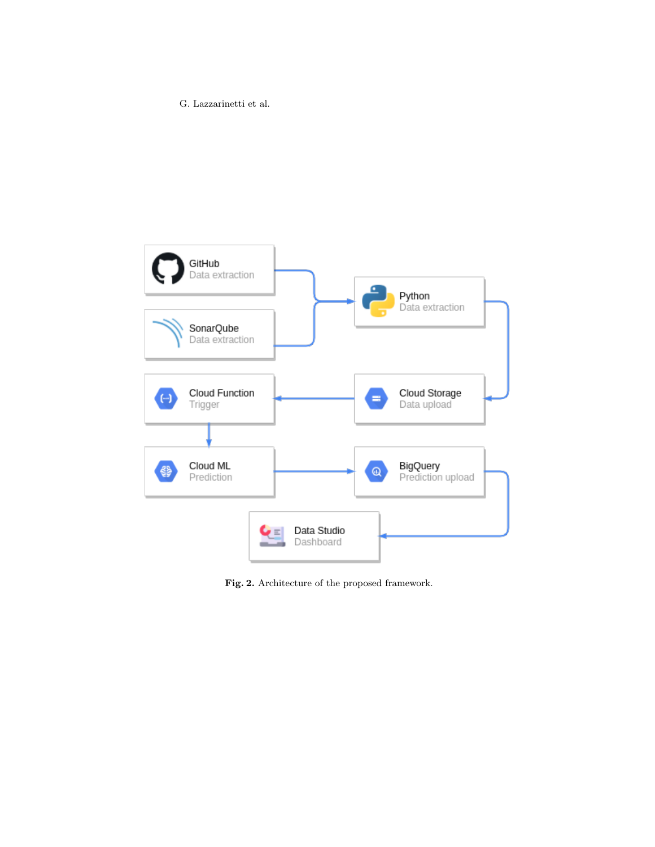G. Lazzarinetti et al.



Fig. 2. Architecture of the proposed framework.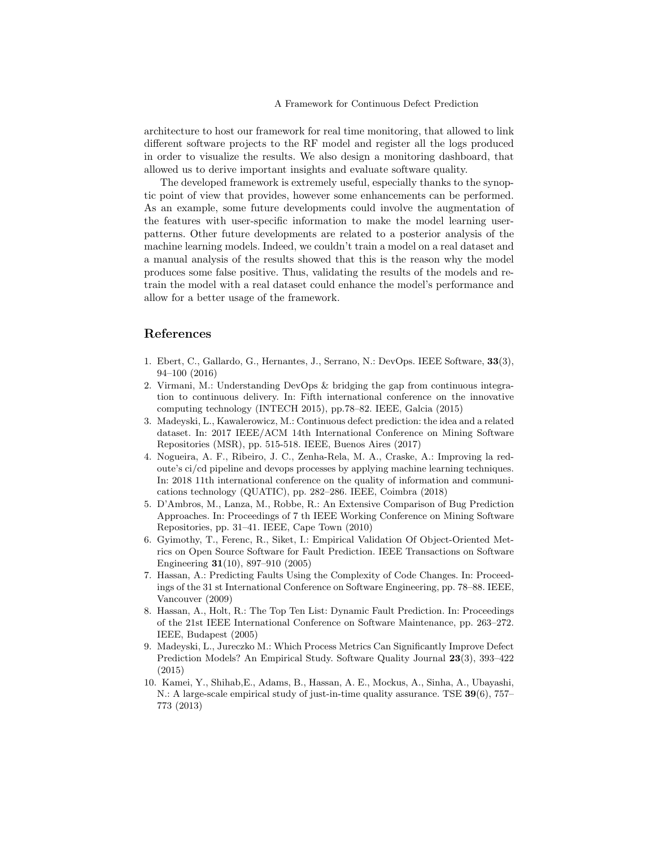architecture to host our framework for real time monitoring, that allowed to link different software projects to the RF model and register all the logs produced in order to visualize the results. We also design a monitoring dashboard, that allowed us to derive important insights and evaluate software quality.

The developed framework is extremely useful, especially thanks to the synoptic point of view that provides, however some enhancements can be performed. As an example, some future developments could involve the augmentation of the features with user-specific information to make the model learning userpatterns. Other future developments are related to a posterior analysis of the machine learning models. Indeed, we couldn't train a model on a real dataset and a manual analysis of the results showed that this is the reason why the model produces some false positive. Thus, validating the results of the models and retrain the model with a real dataset could enhance the model's performance and allow for a better usage of the framework.

# References

- 1. Ebert, C., Gallardo, G., Hernantes, J., Serrano, N.: DevOps. IEEE Software, 33(3), 94–100 (2016)
- 2. Virmani, M.: Understanding DevOps & bridging the gap from continuous integration to continuous delivery. In: Fifth international conference on the innovative computing technology (INTECH 2015), pp.78–82. IEEE, Galcia (2015)
- 3. Madeyski, L., Kawalerowicz, M.: Continuous defect prediction: the idea and a related dataset. In: 2017 IEEE/ACM 14th International Conference on Mining Software Repositories (MSR), pp. 515-518. IEEE, Buenos Aires (2017)
- 4. Nogueira, A. F., Ribeiro, J. C., Zenha-Rela, M. A., Craske, A.: Improving la redoute's ci/cd pipeline and devops processes by applying machine learning techniques. In: 2018 11th international conference on the quality of information and communications technology (QUATIC), pp. 282–286. IEEE, Coimbra (2018)
- 5. D'Ambros, M., Lanza, M., Robbe, R.: An Extensive Comparison of Bug Prediction Approaches. In: Proceedings of 7 th IEEE Working Conference on Mining Software Repositories, pp. 31–41. IEEE, Cape Town (2010)
- 6. Gyimothy, T., Ferenc, R., Siket, I.: Empirical Validation Of Object-Oriented Metrics on Open Source Software for Fault Prediction. IEEE Transactions on Software Engineering 31(10), 897–910 (2005)
- 7. Hassan, A.: Predicting Faults Using the Complexity of Code Changes. In: Proceedings of the 31 st International Conference on Software Engineering, pp. 78–88. IEEE, Vancouver (2009)
- 8. Hassan, A., Holt, R.: The Top Ten List: Dynamic Fault Prediction. In: Proceedings of the 21st IEEE International Conference on Software Maintenance, pp. 263–272. IEEE, Budapest (2005)
- 9. Madeyski, L., Jureczko M.: Which Process Metrics Can Significantly Improve Defect Prediction Models? An Empirical Study. Software Quality Journal 23(3), 393–422 (2015)
- 10. Kamei, Y., Shihab,E., Adams, B., Hassan, A. E., Mockus, A., Sinha, A., Ubayashi, N.: A large-scale empirical study of just-in-time quality assurance. TSE 39(6), 757– 773 (2013)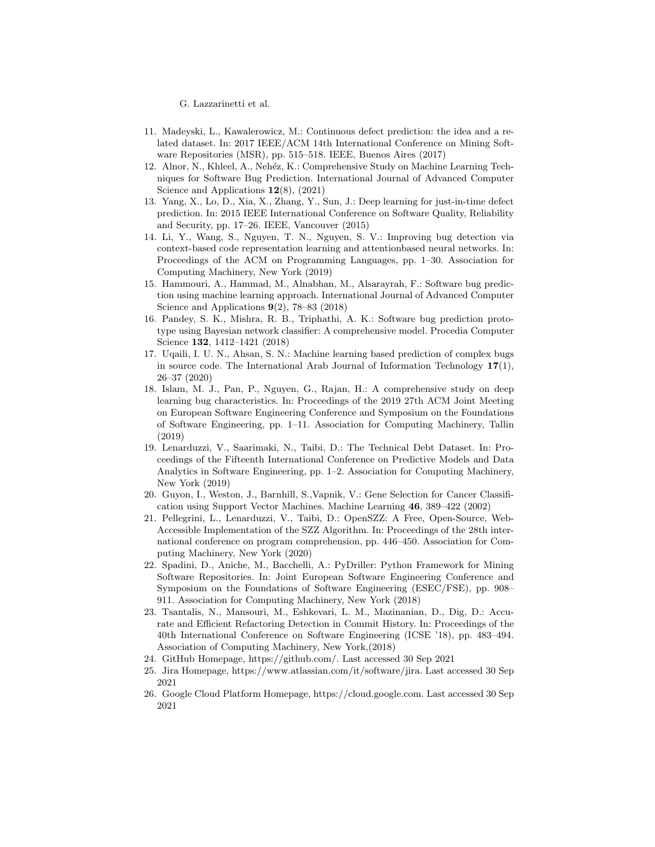- 11. Madeyski, L., Kawalerowicz, M.: Continuous defect prediction: the idea and a related dataset. In: 2017 IEEE/ACM 14th International Conference on Mining Software Repositories (MSR), pp. 515–518. IEEE, Buenos Aires (2017)
- 12. Alnor, N., Khleel, A., Neh´ez, K.: Comprehensive Study on Machine Learning Techniques for Software Bug Prediction. International Journal of Advanced Computer Science and Applications  $12(8)$ ,  $(2021)$
- 13. Yang, X., Lo, D., Xia, X., Zhang, Y., Sun, J.: Deep learning for just-in-time defect prediction. In: 2015 IEEE International Conference on Software Quality, Reliability and Security, pp. 17–26. IEEE, Vancouver (2015)
- 14. Li, Y., Wang, S., Nguyen, T. N., Nguyen, S. V.: Improving bug detection via context-based code representation learning and attentionbased neural networks. In: Proceedings of the ACM on Programming Languages, pp. 1–30. Association for Computing Machinery, New York (2019)
- 15. Hammouri, A., Hammad, M., Alnabhan, M., Alsarayrah, F.: Software bug prediction using machine learning approach. International Journal of Advanced Computer Science and Applications  $9(2)$ , 78–83 (2018)
- 16. Pandey, S. K., Mishra, R. B., Triphathi, A. K.: Software bug prediction prototype using Bayesian network classifier: A comprehensive model. Procedia Computer Science 132, 1412–1421 (2018)
- 17. Uqaili, I. U. N., Ahsan, S. N.: Machine learning based prediction of complex bugs in source code. The International Arab Journal of Information Technology  $17(1)$ , 26–37 (2020)
- 18. Islam, M. J., Pan, P., Nguyen, G., Rajan, H.: A comprehensive study on deep learning bug characteristics. In: Proceedings of the 2019 27th ACM Joint Meeting on European Software Engineering Conference and Symposium on the Foundations of Software Engineering, pp. 1–11. Association for Computing Machinery, Tallin (2019)
- 19. Lenarduzzi, V., Saarimaki, N., Taibi, D.: The Technical Debt Dataset. In: Proceedings of the Fifteenth International Conference on Predictive Models and Data Analytics in Software Engineering, pp. 1–2. Association for Computing Machinery, New York (2019)
- 20. Guyon, I., Weston, J., Barnhill, S.,Vapnik, V.: Gene Selection for Cancer Classification using Support Vector Machines. Machine Learning 46, 389–422 (2002)
- 21. Pellegrini, L., Lenarduzzi, V., Taibi, D.: OpenSZZ: A Free, Open-Source, Web-Accessible Implementation of the SZZ Algorithm. In: Proceedings of the 28th international conference on program comprehension, pp. 446–450. Association for Computing Machinery, New York (2020)
- 22. Spadini, D., Aniche, M., Bacchelli, A.: PyDriller: Python Framework for Mining Software Repositories. In: Joint European Software Engineering Conference and Symposium on the Foundations of Software Engineering (ESEC/FSE), pp. 908– 911. Association for Computing Machinery, New York (2018)
- 23. Tsantalis, N., Mansouri, M., Eshkevari, L. M., Mazinanian, D., Dig, D.: Accurate and Efficient Refactoring Detection in Commit History. In: Proceedings of the 40th International Conference on Software Engineering (ICSE '18), pp. 483–494. Association of Computing Machinery, New York,(2018)
- 24. GitHub Homepage, https://github.com/. Last accessed 30 Sep 2021
- 25. Jira Homepage, https://www.atlassian.com/it/software/jira. Last accessed 30 Sep 2021
- 26. Google Cloud Platform Homepage, https://cloud.google.com. Last accessed 30 Sep 2021